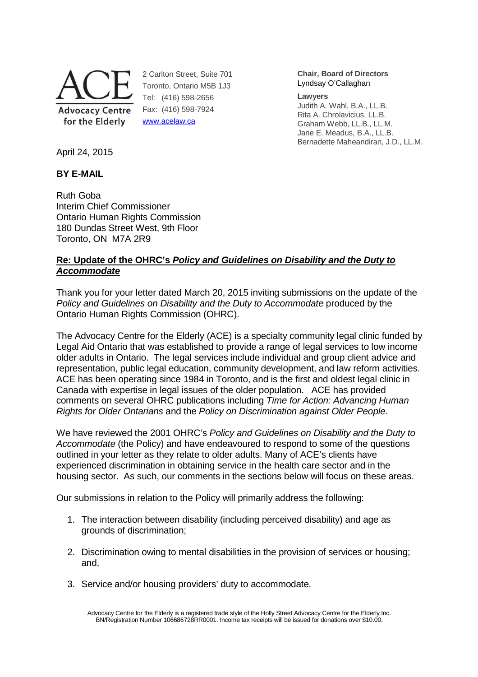

2 Carlton Street, Suite 701 Toronto, Ontario M5B 1J3 Tel: (416) 598-2656 Fax: (416) 598-7924 www.acelaw.ca

**Chair, Board of Directors** Lyndsay O'Callaghan

#### **Lawyers**

Judith A. Wahl, B.A., LL.B. Rita A. Chrolavicius, LL.B. Graham Webb, LL.B., LL.M. Jane E. Meadus, B.A., LL.B. Bernadette Maheandiran, J.D., LL.M.

April 24, 2015

## **BY E-MAIL**

Ruth Goba Interim Chief Commissioner Ontario Human Rights Commission 180 Dundas Street West, 9th Floor Toronto, ON M7A 2R9

## **Re: Update of the OHRC's Policy and Guidelines on Disability and the Duty to Accommodate**

Thank you for your letter dated March 20, 2015 inviting submissions on the update of the Policy and Guidelines on Disability and the Duty to Accommodate produced by the Ontario Human Rights Commission (OHRC).

The Advocacy Centre for the Elderly (ACE) is a specialty community legal clinic funded by Legal Aid Ontario that was established to provide a range of legal services to low income older adults in Ontario. The legal services include individual and group client advice and representation, public legal education, community development, and law reform activities. ACE has been operating since 1984 in Toronto, and is the first and oldest legal clinic in Canada with expertise in legal issues of the older population. ACE has provided comments on several OHRC publications including Time for Action: Advancing Human Rights for Older Ontarians and the Policy on Discrimination against Older People.

We have reviewed the 2001 OHRC's Policy and Guidelines on Disability and the Duty to Accommodate (the Policy) and have endeavoured to respond to some of the questions outlined in your letter as they relate to older adults. Many of ACE's clients have experienced discrimination in obtaining service in the health care sector and in the housing sector. As such, our comments in the sections below will focus on these areas.

Our submissions in relation to the Policy will primarily address the following:

- 1. The interaction between disability (including perceived disability) and age as grounds of discrimination;
- 2. Discrimination owing to mental disabilities in the provision of services or housing; and,
- 3. Service and/or housing providers' duty to accommodate.

Advocacy Centre for the Elderly is a registered trade style of the Holly Street Advocacy Centre for the Elderly Inc. BN/Registration Number 106686728RR0001. Income tax receipts will be issued for donations over \$10.00.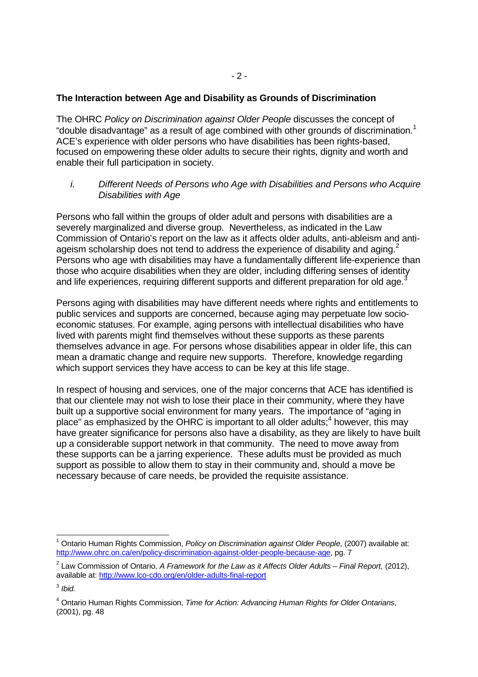### **The Interaction between Age and Disability as Grounds of Discrimination**

The OHRC Policy on Discrimination against Older People discusses the concept of "double disadvantage" as a result of age combined with other grounds of discrimination. $1$ ACE's experience with older persons who have disabilities has been rights-based, focused on empowering these older adults to secure their rights, dignity and worth and enable their full participation in society.

i. Different Needs of Persons who Age with Disabilities and Persons who Acquire Disabilities with Age

Persons who fall within the groups of older adult and persons with disabilities are a severely marginalized and diverse group. Nevertheless, as indicated in the Law Commission of Ontario's report on the law as it affects older adults, anti-ableism and antiageism scholarship does not tend to address the experience of disability and aging.<sup>2</sup> Persons who age with disabilities may have a fundamentally different life-experience than those who acquire disabilities when they are older, including differing senses of identity and life experiences, requiring different supports and different preparation for old age.<sup>3</sup>

Persons aging with disabilities may have different needs where rights and entitlements to public services and supports are concerned, because aging may perpetuate low socioeconomic statuses. For example, aging persons with intellectual disabilities who have lived with parents might find themselves without these supports as these parents themselves advance in age. For persons whose disabilities appear in older life, this can mean a dramatic change and require new supports. Therefore, knowledge regarding which support services they have access to can be key at this life stage.

In respect of housing and services, one of the major concerns that ACE has identified is that our clientele may not wish to lose their place in their community, where they have built up a supportive social environment for many years. The importance of "aging in place" as emphasized by the OHRC is important to all older adults;<sup>4</sup> however, this may have greater significance for persons also have a disability, as they are likely to have built up a considerable support network in that community. The need to move away from these supports can be a jarring experience. These adults must be provided as much support as possible to allow them to stay in their community and, should a move be necessary because of care needs, be provided the requisite assistance.

<sup>-</sup><sup>1</sup> Ontario Human Rights Commission, Policy on Discrimination against Older People, (2007) available at: http://www.ohrc.on.ca/en/policy-discrimination-against-older-people-because-age, pg. 7

 $2$  Law Commission of Ontario, A Framework for the Law as it Affects Older Adults – Final Report, (2012), available at: http://www.lco-cdo.org/en/older-adults-final-report

 $^3$  Ibid.

<sup>&</sup>lt;sup>4</sup> Ontario Human Rights Commission, Time for Action: Advancing Human Rights for Older Ontarians, (2001), pg. 48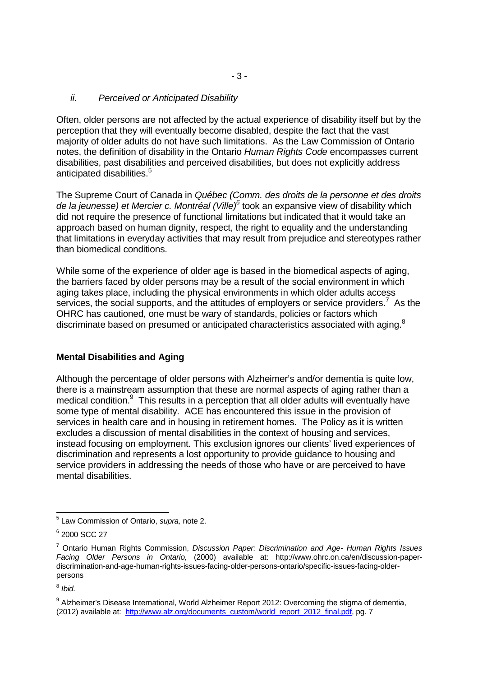### ii. Perceived or Anticipated Disability

Often, older persons are not affected by the actual experience of disability itself but by the perception that they will eventually become disabled, despite the fact that the vast majority of older adults do not have such limitations. As the Law Commission of Ontario notes, the definition of disability in the Ontario Human Rights Code encompasses current disabilities, past disabilities and perceived disabilities, but does not explicitly address anticipated disabilities.<sup>5</sup>

The Supreme Court of Canada in Québec (Comm. des droits de la personne et des droits de la jeunesse) et Mercier c. Montréal (Ville)<sup>6</sup> took an expansive view of disability which did not require the presence of functional limitations but indicated that it would take an approach based on human dignity, respect, the right to equality and the understanding that limitations in everyday activities that may result from prejudice and stereotypes rather than biomedical conditions.

While some of the experience of older age is based in the biomedical aspects of aging, the barriers faced by older persons may be a result of the social environment in which aging takes place, including the physical environments in which older adults access services, the social supports, and the attitudes of employers or service providers.<sup>7</sup> As the OHRC has cautioned, one must be wary of standards, policies or factors which discriminate based on presumed or anticipated characteristics associated with aging. $8$ 

## **Mental Disabilities and Aging**

Although the percentage of older persons with Alzheimer's and/or dementia is quite low, there is a mainstream assumption that these are normal aspects of aging rather than a medical condition.<sup>9</sup> This results in a perception that all older adults will eventually have some type of mental disability. ACE has encountered this issue in the provision of services in health care and in housing in retirement homes. The Policy as it is written excludes a discussion of mental disabilities in the context of housing and services, instead focusing on employment. This exclusion ignores our clients' lived experiences of discrimination and represents a lost opportunity to provide guidance to housing and service providers in addressing the needs of those who have or are perceived to have mental disabilities.

 5 Law Commission of Ontario, supra, note 2.

<sup>6</sup> 2000 SCC 27

<sup>&</sup>lt;sup>7</sup> Ontario Human Rights Commission, Discussion Paper: Discrimination and Age- Human Rights Issues Facing Older Persons in Ontario, (2000) available at: http://www.ohrc.on.ca/en/discussion-paperdiscrimination-and-age-human-rights-issues-facing-older-persons-ontario/specific-issues-facing-olderpersons

 $^8$  Ibid.

<sup>&</sup>lt;sup>9</sup> Alzheimer's Disease International, World Alzheimer Report 2012: Overcoming the stigma of dementia, (2012) available at: http://www.alz.org/documents\_custom/world\_report\_2012\_final.pdf, pg. 7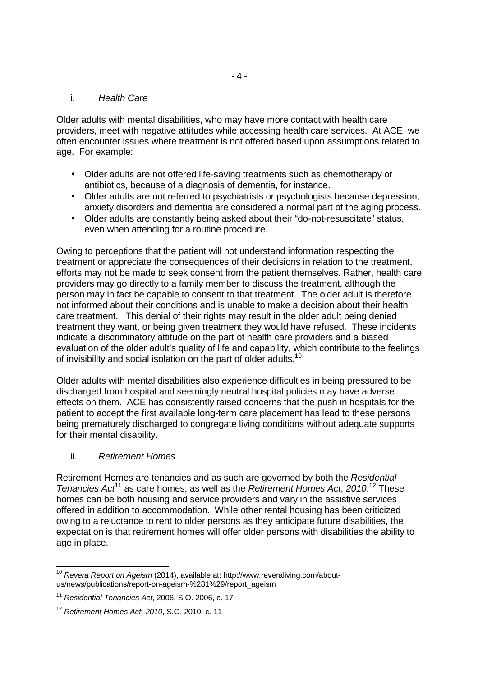### i. Health Care

Older adults with mental disabilities, who may have more contact with health care providers, meet with negative attitudes while accessing health care services. At ACE, we often encounter issues where treatment is not offered based upon assumptions related to age. For example:

- Older adults are not offered life-saving treatments such as chemotherapy or antibiotics, because of a diagnosis of dementia, for instance.
- Older adults are not referred to psychiatrists or psychologists because depression, anxiety disorders and dementia are considered a normal part of the aging process.
- Older adults are constantly being asked about their "do-not-resuscitate" status, even when attending for a routine procedure.

Owing to perceptions that the patient will not understand information respecting the treatment or appreciate the consequences of their decisions in relation to the treatment, efforts may not be made to seek consent from the patient themselves. Rather, health care providers may go directly to a family member to discuss the treatment, although the person may in fact be capable to consent to that treatment. The older adult is therefore not informed about their conditions and is unable to make a decision about their health care treatment. This denial of their rights may result in the older adult being denied treatment they want, or being given treatment they would have refused. These incidents indicate a discriminatory attitude on the part of health care providers and a biased evaluation of the older adult's quality of life and capability, which contribute to the feelings of invisibility and social isolation on the part of older adults.<sup>10</sup>

Older adults with mental disabilities also experience difficulties in being pressured to be discharged from hospital and seemingly neutral hospital policies may have adverse effects on them. ACE has consistently raised concerns that the push in hospitals for the patient to accept the first available long-term care placement has lead to these persons being prematurely discharged to congregate living conditions without adequate supports for their mental disability.

## ii. Retirement Homes

Retirement Homes are tenancies and as such are governed by both the Residential Tenancies  $Act^{11}$  as care homes, as well as the Retirement Homes Act, 2010.<sup>12</sup> These homes can be both housing and service providers and vary in the assistive services offered in addition to accommodation. While other rental housing has been criticized owing to a reluctance to rent to older persons as they anticipate future disabilities, the expectation is that retirement homes will offer older persons with disabilities the ability to age in place.

<sup>-</sup> $10$  Revera Report on Ageism (2014), available at: http://www.reveraliving.com/aboutus/news/publications/report-on-ageism-%281%29/report\_ageism

<sup>&</sup>lt;sup>11</sup> Residential Tenancies Act, 2006, S.O. 2006, c. 17

<sup>12</sup> Retirement Homes Act, 2010, S.O. 2010, c. 11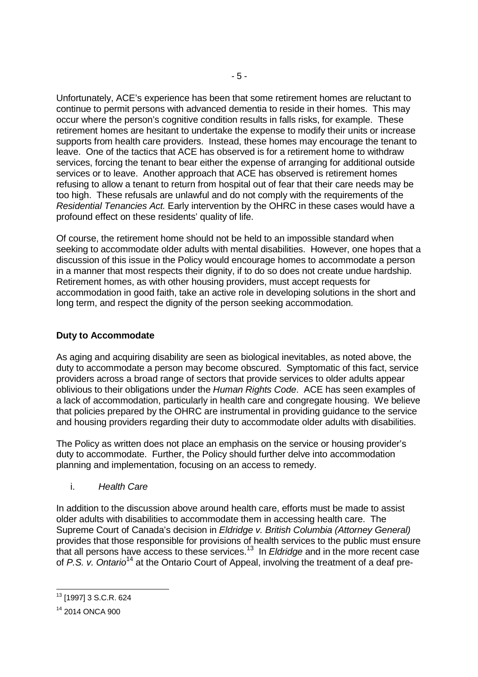Unfortunately, ACE's experience has been that some retirement homes are reluctant to continue to permit persons with advanced dementia to reside in their homes. This may occur where the person's cognitive condition results in falls risks, for example. These retirement homes are hesitant to undertake the expense to modify their units or increase supports from health care providers. Instead, these homes may encourage the tenant to leave. One of the tactics that ACE has observed is for a retirement home to withdraw services, forcing the tenant to bear either the expense of arranging for additional outside services or to leave. Another approach that ACE has observed is retirement homes refusing to allow a tenant to return from hospital out of fear that their care needs may be too high. These refusals are unlawful and do not comply with the requirements of the Residential Tenancies Act. Early intervention by the OHRC in these cases would have a profound effect on these residents' quality of life.

Of course, the retirement home should not be held to an impossible standard when seeking to accommodate older adults with mental disabilities. However, one hopes that a discussion of this issue in the Policy would encourage homes to accommodate a person in a manner that most respects their dignity, if to do so does not create undue hardship. Retirement homes, as with other housing providers, must accept requests for accommodation in good faith, take an active role in developing solutions in the short and long term, and respect the dignity of the person seeking accommodation.

# **Duty to Accommodate**

As aging and acquiring disability are seen as biological inevitables, as noted above, the duty to accommodate a person may become obscured. Symptomatic of this fact, service providers across a broad range of sectors that provide services to older adults appear oblivious to their obligations under the Human Rights Code. ACE has seen examples of a lack of accommodation, particularly in health care and congregate housing. We believe that policies prepared by the OHRC are instrumental in providing guidance to the service and housing providers regarding their duty to accommodate older adults with disabilities.

The Policy as written does not place an emphasis on the service or housing provider's duty to accommodate. Further, the Policy should further delve into accommodation planning and implementation, focusing on an access to remedy.

i. Health Care

In addition to the discussion above around health care, efforts must be made to assist older adults with disabilities to accommodate them in accessing health care. The Supreme Court of Canada's decision in Eldridge v. British Columbia (Attorney General) provides that those responsible for provisions of health services to the public must ensure that all persons have access to these services.<sup>13</sup> In *Eldridge* and in the more recent case of P.S. v. Ontario<sup>14</sup> at the Ontario Court of Appeal, involving the treatment of a deaf pre-

-

<sup>13</sup> [1997] 3 S.C.R. 624

<sup>14</sup> 2014 ONCA 900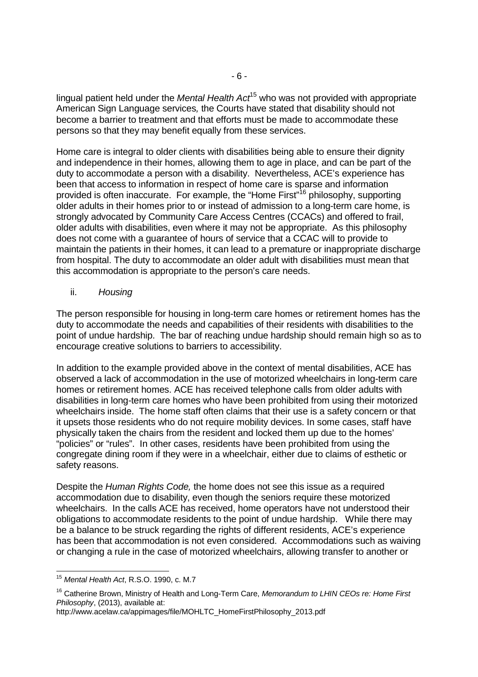lingual patient held under the *Mental Health Act*<sup>15</sup> who was not provided with appropriate American Sign Language services, the Courts have stated that disability should not become a barrier to treatment and that efforts must be made to accommodate these persons so that they may benefit equally from these services.

Home care is integral to older clients with disabilities being able to ensure their dignity and independence in their homes, allowing them to age in place, and can be part of the duty to accommodate a person with a disability. Nevertheless, ACE's experience has been that access to information in respect of home care is sparse and information provided is often inaccurate. For example, the "Home First"<sup>16</sup> philosophy, supporting older adults in their homes prior to or instead of admission to a long-term care home, is strongly advocated by Community Care Access Centres (CCACs) and offered to frail, older adults with disabilities, even where it may not be appropriate. As this philosophy does not come with a guarantee of hours of service that a CCAC will to provide to maintain the patients in their homes, it can lead to a premature or inappropriate discharge from hospital. The duty to accommodate an older adult with disabilities must mean that this accommodation is appropriate to the person's care needs.

ii. Housing

The person responsible for housing in long-term care homes or retirement homes has the duty to accommodate the needs and capabilities of their residents with disabilities to the point of undue hardship. The bar of reaching undue hardship should remain high so as to encourage creative solutions to barriers to accessibility.

In addition to the example provided above in the context of mental disabilities, ACE has observed a lack of accommodation in the use of motorized wheelchairs in long-term care homes or retirement homes. ACE has received telephone calls from older adults with disabilities in long-term care homes who have been prohibited from using their motorized wheelchairs inside. The home staff often claims that their use is a safety concern or that it upsets those residents who do not require mobility devices. In some cases, staff have physically taken the chairs from the resident and locked them up due to the homes' "policies" or "rules". In other cases, residents have been prohibited from using the congregate dining room if they were in a wheelchair, either due to claims of esthetic or safety reasons.

Despite the Human Rights Code, the home does not see this issue as a required accommodation due to disability, even though the seniors require these motorized wheelchairs. In the calls ACE has received, home operators have not understood their obligations to accommodate residents to the point of undue hardship. While there may be a balance to be struck regarding the rights of different residents, ACE's experience has been that accommodation is not even considered. Accommodations such as waiving or changing a rule in the case of motorized wheelchairs, allowing transfer to another or

-

http://www.acelaw.ca/appimages/file/MOHLTC\_HomeFirstPhilosophy\_2013.pdf

 $15$  Mental Health Act, R.S.O. 1990, c. M.7

<sup>&</sup>lt;sup>16</sup> Catherine Brown. Ministry of Health and Long-Term Care, Memorandum to LHIN CEOs re: Home First Philosophy, (2013), available at: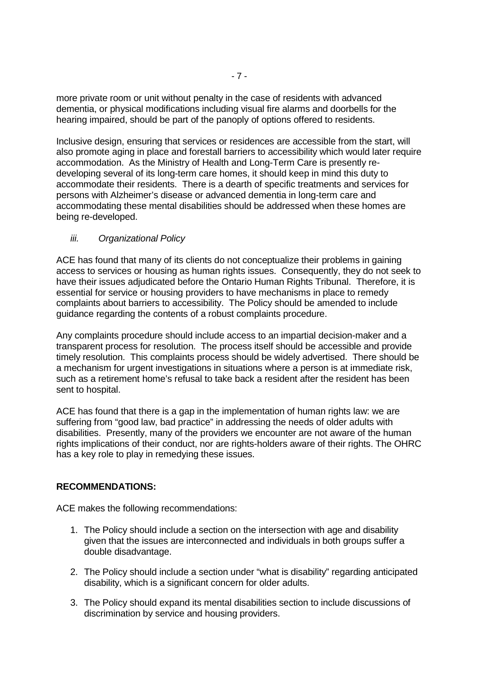more private room or unit without penalty in the case of residents with advanced dementia, or physical modifications including visual fire alarms and doorbells for the hearing impaired, should be part of the panoply of options offered to residents.

Inclusive design, ensuring that services or residences are accessible from the start, will also promote aging in place and forestall barriers to accessibility which would later require accommodation. As the Ministry of Health and Long-Term Care is presently redeveloping several of its long-term care homes, it should keep in mind this duty to accommodate their residents. There is a dearth of specific treatments and services for persons with Alzheimer's disease or advanced dementia in long-term care and accommodating these mental disabilities should be addressed when these homes are being re-developed.

## iii. Organizational Policy

ACE has found that many of its clients do not conceptualize their problems in gaining access to services or housing as human rights issues. Consequently, they do not seek to have their issues adjudicated before the Ontario Human Rights Tribunal. Therefore, it is essential for service or housing providers to have mechanisms in place to remedy complaints about barriers to accessibility. The Policy should be amended to include guidance regarding the contents of a robust complaints procedure.

Any complaints procedure should include access to an impartial decision-maker and a transparent process for resolution. The process itself should be accessible and provide timely resolution. This complaints process should be widely advertised. There should be a mechanism for urgent investigations in situations where a person is at immediate risk, such as a retirement home's refusal to take back a resident after the resident has been sent to hospital.

ACE has found that there is a gap in the implementation of human rights law: we are suffering from "good law, bad practice" in addressing the needs of older adults with disabilities. Presently, many of the providers we encounter are not aware of the human rights implications of their conduct, nor are rights-holders aware of their rights. The OHRC has a key role to play in remedying these issues.

## **RECOMMENDATIONS:**

ACE makes the following recommendations:

- 1. The Policy should include a section on the intersection with age and disability given that the issues are interconnected and individuals in both groups suffer a double disadvantage.
- 2. The Policy should include a section under "what is disability" regarding anticipated disability, which is a significant concern for older adults.
- 3. The Policy should expand its mental disabilities section to include discussions of discrimination by service and housing providers.